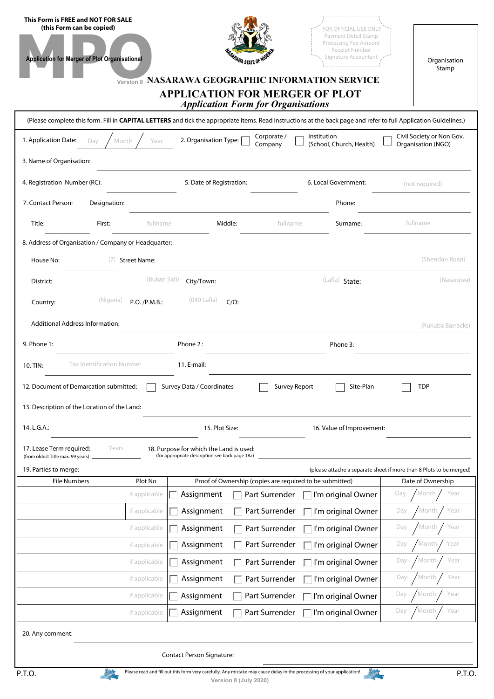| This Form is FREE and NOT FOR SALE<br>(this Form can be copied)<br><b>Application for Merger of Plot Organisational</b>                                           |                     | <i><b>PRAWA STATE OF</b></i><br>Version 8 NASARAWA GEOGRAPHIC INFORMATION SERVICE<br><b>APPLICATION FOR MERGER OF PLOT</b><br><b>Application Form for Organisations</b> |                        | FOR OFFICIAL USE ONLY<br>Payment Detail Stamp<br>Processing Fee Amount<br>Receipt Number<br>Signature Accountant | Organisation<br>Stamp                                                                    |  |  |  |
|-------------------------------------------------------------------------------------------------------------------------------------------------------------------|---------------------|-------------------------------------------------------------------------------------------------------------------------------------------------------------------------|------------------------|------------------------------------------------------------------------------------------------------------------|------------------------------------------------------------------------------------------|--|--|--|
| (Please complete this form. Fill in CAPITAL LETTERS and tick the appropriate items. Read Instructions at the back page and refer to full Application Guidelines.) |                     |                                                                                                                                                                         |                        |                                                                                                                  |                                                                                          |  |  |  |
| 1. Application Date:<br>Day                                                                                                                                       | Month<br>Year       | 2. Organisation Type:                                                                                                                                                   | Corporate /<br>Company | Institution<br>(School, Church, Health)                                                                          | Civil Society or Non Gov.<br>Organisation (NGO)                                          |  |  |  |
| 3. Name of Organisation:                                                                                                                                          |                     |                                                                                                                                                                         |                        |                                                                                                                  |                                                                                          |  |  |  |
| 4. Registration Number (RC):                                                                                                                                      |                     |                                                                                                                                                                         |                        | 6. Local Government:                                                                                             | (not required)                                                                           |  |  |  |
| 7. Contact Person:<br>Designation:                                                                                                                                |                     |                                                                                                                                                                         |                        | Phone:                                                                                                           |                                                                                          |  |  |  |
| Title:<br>First:                                                                                                                                                  | fullname            | Middle:                                                                                                                                                                 | fullname               | Surname:                                                                                                         | fullname                                                                                 |  |  |  |
| 8. Address of Organisation / Company or Headquarter:                                                                                                              |                     |                                                                                                                                                                         |                        |                                                                                                                  |                                                                                          |  |  |  |
| (7)<br>House No:                                                                                                                                                  | <b>Street Name:</b> |                                                                                                                                                                         |                        |                                                                                                                  | (Shendan Road)                                                                           |  |  |  |
| District:                                                                                                                                                         | (Bukan Sidi)        | City/Town:                                                                                                                                                              |                        | (Lafia) State:                                                                                                   | (Nasarawa)                                                                               |  |  |  |
| (Nigeria)<br>Country:                                                                                                                                             | P.O. / P.M.B.:      | $(040$ Lafia)<br>$C/O$ :                                                                                                                                                |                        |                                                                                                                  |                                                                                          |  |  |  |
| <b>Additional Address Information:</b>                                                                                                                            |                     |                                                                                                                                                                         |                        |                                                                                                                  | (Rukuba Barracks)                                                                        |  |  |  |
| 9. Phone 1:                                                                                                                                                       |                     | Phone 2:                                                                                                                                                                |                        | Phone 3:                                                                                                         |                                                                                          |  |  |  |
| <b>Tax Identification Number</b><br>10. TIN:                                                                                                                      |                     | 11. E-mail:                                                                                                                                                             |                        |                                                                                                                  |                                                                                          |  |  |  |
| 12. Document of Demarcation submitted:                                                                                                                            |                     | Survey Data / Coordinates                                                                                                                                               | Survey Report          | Site-Plan                                                                                                        | <b>TDP</b>                                                                               |  |  |  |
| 13. Description of the Location of the Land:                                                                                                                      |                     |                                                                                                                                                                         |                        |                                                                                                                  |                                                                                          |  |  |  |
| 14. L.G.A.:                                                                                                                                                       |                     | 15. Plot Size:                                                                                                                                                          |                        | 16. Value of Improvement:                                                                                        |                                                                                          |  |  |  |
| Years<br>17. Lease Term required:                                                                                                                                 |                     | 18. Purpose for which the Land is used:                                                                                                                                 |                        |                                                                                                                  |                                                                                          |  |  |  |
| (from oldest Title max. 99 years)                                                                                                                                 |                     | (for appropriate description see back page 18a)                                                                                                                         |                        |                                                                                                                  |                                                                                          |  |  |  |
| 19. Parties to merge:<br><b>File Numbers</b>                                                                                                                      | Plot No             | Proof of Ownership (copies are required to be submitted)                                                                                                                |                        |                                                                                                                  | (please attache a separate sheet if more than 8 Plots to be merged)<br>Date of Ownership |  |  |  |
|                                                                                                                                                                   | if applicable       | Assignment                                                                                                                                                              | Part Surrender         | I'm original Owner                                                                                               | Month<br>Year<br>Day                                                                     |  |  |  |
|                                                                                                                                                                   | if applicable       | Assignment                                                                                                                                                              | Part Surrender         | I'm original Owner                                                                                               | Month<br>Year<br>Day                                                                     |  |  |  |
|                                                                                                                                                                   | if applicable       | Assignment                                                                                                                                                              | Part Surrender         | I'm original Owner                                                                                               | Year<br>Month<br>Day                                                                     |  |  |  |
|                                                                                                                                                                   | if applicable       | Assignment                                                                                                                                                              | Part Surrender         | I'm original Owner                                                                                               | Year<br>Day<br>Month                                                                     |  |  |  |
|                                                                                                                                                                   | if applicable       | Assignment                                                                                                                                                              | Part Surrender         | I'm original Owner                                                                                               | Year<br>Day<br>Month                                                                     |  |  |  |
|                                                                                                                                                                   | if applicable       | Assignment                                                                                                                                                              | Part Surrender         | I'm original Owner                                                                                               | Year<br>Day<br>Month                                                                     |  |  |  |
|                                                                                                                                                                   | if applicable       | Assignment                                                                                                                                                              | Part Surrender         | I'm original Owner                                                                                               | Year<br>Day<br>Month                                                                     |  |  |  |
|                                                                                                                                                                   | if applicable       | Assignment                                                                                                                                                              | Part Surrender         | I'm original Owner                                                                                               | Year<br>Month<br>Day                                                                     |  |  |  |
| 20. Any comment:                                                                                                                                                  |                     |                                                                                                                                                                         |                        |                                                                                                                  |                                                                                          |  |  |  |
| <b>Contact Person Signature:</b>                                                                                                                                  |                     |                                                                                                                                                                         |                        |                                                                                                                  |                                                                                          |  |  |  |